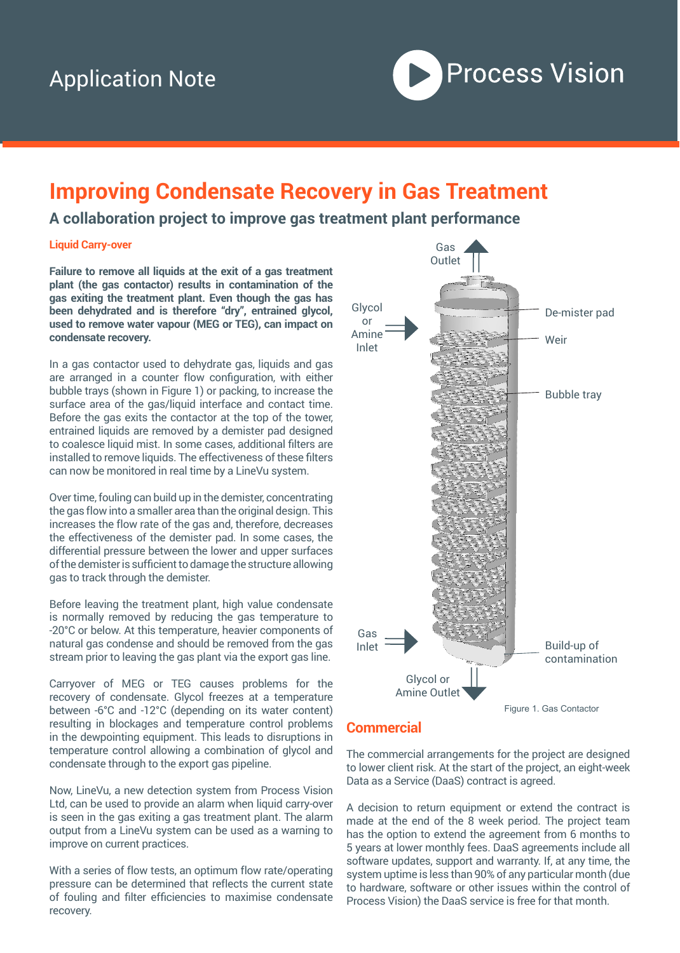

# **Improving Condensate Recovery in Gas Treatment**

### **A collaboration project to improve gas treatment plant performance**

#### **Liquid Carry-over**

**Failure to remove all liquids at the exit of a gas treatment plant (the gas contactor) results in contamination of the gas exiting the treatment plant. Even though the gas has been dehydrated and is therefore "dry", entrained glycol, used to remove water vapour (MEG or TEG), can impact on condensate recovery.** 

In a gas contactor used to dehydrate gas, liquids and gas are arranged in a counter flow configuration, with either bubble trays (shown in Figure 1) or packing, to increase the surface area of the gas/liquid interface and contact time. Before the gas exits the contactor at the top of the tower, entrained liquids are removed by a demister pad designed to coalesce liquid mist. In some cases, additional filters are installed to remove liquids. The effectiveness of these filters can now be monitored in real time by a LineVu system.

Over time, fouling can build up in the demister, concentrating the gas flow into a smaller area than the original design. This increases the flow rate of the gas and, therefore, decreases the effectiveness of the demister pad. In some cases, the differential pressure between the lower and upper surfaces of the demister is sufficient to damage the structure allowing gas to track through the demister.

Before leaving the treatment plant, high value condensate is normally removed by reducing the gas temperature to -20°C or below. At this temperature, heavier components of natural gas condense and should be removed from the gas stream prior to leaving the gas plant via the export gas line.

Carryover of MEG or TEG causes problems for the recovery of condensate. Glycol freezes at a temperature between -6°C and -12°C (depending on its water content) resulting in blockages and temperature control problems in the dewpointing equipment. This leads to disruptions in temperature control allowing a combination of glycol and condensate through to the export gas pipeline.

Now, LineVu, a new detection system from Process Vision Ltd, can be used to provide an alarm when liquid carry-over is seen in the gas exiting a gas treatment plant. The alarm output from a LineVu system can be used as a warning to improve on current practices.

With a series of flow tests, an optimum flow rate/operating pressure can be determined that reflects the current state of fouling and filter efficiencies to maximise condensate recovery.



#### **Commercial**

The commercial arrangements for the project are designed to lower client risk. At the start of the project, an eight-week Data as a Service (DaaS) contract is agreed.

A decision to return equipment or extend the contract is made at the end of the 8 week period. The project team has the option to extend the agreement from 6 months to 5 years at lower monthly fees. DaaS agreements include all software updates, support and warranty. If, at any time, the system uptime is less than 90% of any particular month (due to hardware, software or other issues within the control of Process Vision) the DaaS service is free for that month.